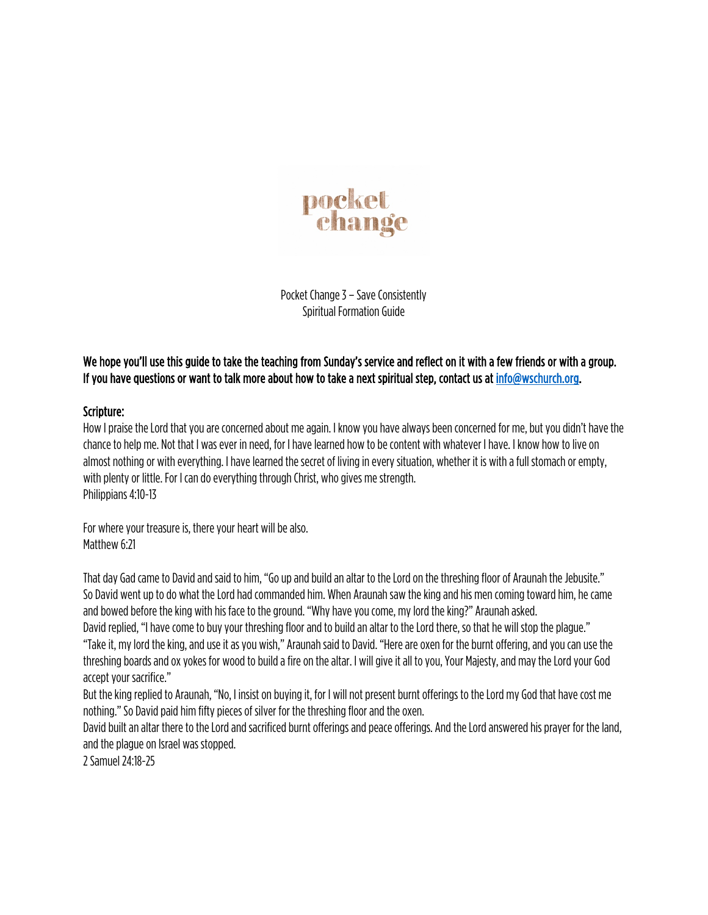

Pocket Change 3 - Save Consistently Spiritual Formation Guide

## We hope you'll use this guide to take the teaching from Sunday's service and reflect on it with a few friends or with a group. If you have questions or want to talk more about how to take a next spiritual step, contact us at info@wschurch.org.

## Scripture:

How I praise the Lord that you are concerned about me again. I know you have always been concerned for me, but you didn't have the chance to help me. Not that I was ever in need, for I have learned how to be content with whatever I have. I know how to liveon almost nothing or with everything. I have learned the secret of living in every situation, whether it is with a full stomach or empty, with plenty or little. For I can do everything through Christ, who gives me strength. Philippians 4:10-13

For where your treasure is, there your heart will be also. Matthew 6:21

That day Gad came to David and said to him, "Go up and build an altar to the Lord on the threshing floor of Araunah the Jebusite." So David went up to do what the Lord had commanded him. When Araunah saw the king and his men coming toward him, he came and bowed before the king with his face to the ground. "Why have you come, my lord the king?" Araunah asked.

David replied, "I have come to buy your threshing floor and to build an altar to the Lord there, so that he will stop the plague." "Take it, my lord the king, and use it as you wish," Araunah said to David. "Here are oxen for the burnt offering, and you can use the threshing boards and ox yokes for wood to build a fire on the altar. I will give it all to you, Your Majesty, and may theLord your God accept your sacrifice."

But the king replied to Araunah, "No, I insist on buying it, for I will not present burnt offerings to the Lord my God that have cost me nothing." So David paid him fifty pieces of silver for the threshing floor and the oxen.

David built an altar there to the Lord and sacrificed burnt offerings and peace offerings. And the Lord answered his prayer for the land, and the plague on Israel was stopped.

2 Samuel 24:18-25